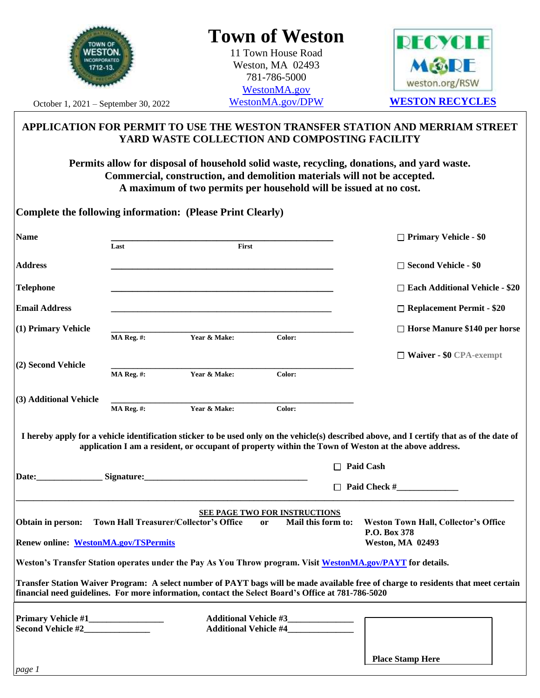

# **Town of Weston**

11 Town House Road Weston, MA 02493 781-786-5000 [WestonMA.gov](https://www.westonma.gov/)



October 1, 2021 – September 30, 2022

## **APPLICATION FOR PERMIT TO USE THE WESTON TRANSFER STATION AND MERRIAM STREET YARD WASTE COLLECTION AND COMPOSTING FACILITY**

**Permits allow for disposal of household solid waste, recycling, donations, and yard waste. Commercial, construction, and demolition materials will not be accepted. A maximum of two permits per household will be issued at no cost.**

|                                             |                                                                                                                               | <b>Complete the following information: (Please Print Clearly)</b> |                                                                                                    |                                                                                                                                        |
|---------------------------------------------|-------------------------------------------------------------------------------------------------------------------------------|-------------------------------------------------------------------|----------------------------------------------------------------------------------------------------|----------------------------------------------------------------------------------------------------------------------------------------|
| <b>Name</b>                                 | Last<br>First                                                                                                                 |                                                                   |                                                                                                    | $\Box$ Primary Vehicle - \$0                                                                                                           |
| <b>Address</b>                              |                                                                                                                               |                                                                   |                                                                                                    | $\Box$ Second Vehicle - \$0                                                                                                            |
| <b>Telephone</b>                            |                                                                                                                               |                                                                   |                                                                                                    | □ Each Additional Vehicle - \$20                                                                                                       |
| <b>Email Address</b>                        |                                                                                                                               |                                                                   |                                                                                                    | $\Box$ Replacement Permit - \$20                                                                                                       |
| (1) Primary Vehicle                         | <b>MA Reg. #:</b>                                                                                                             | Year & Make:                                                      | Color:                                                                                             | $\Box$ Horse Manure \$140 per horse                                                                                                    |
| (2) Second Vehicle                          |                                                                                                                               |                                                                   |                                                                                                    | $\Box$ Waiver - \$0 CPA-exempt                                                                                                         |
|                                             | MA Reg. #:                                                                                                                    | Year & Make:                                                      | Color:                                                                                             |                                                                                                                                        |
| (3) Additional Vehicle                      | MA Reg. #:                                                                                                                    | Year & Make:                                                      | Color:                                                                                             |                                                                                                                                        |
|                                             | application I am a resident, or occupant of property within the Town of Weston at the above address.<br>Signature: Signature: |                                                                   |                                                                                                    | <b>Paid Cash</b><br>Paid Check #                                                                                                       |
|                                             |                                                                                                                               |                                                                   | П<br><b>SEE PAGE TWO FOR INSTRUCTIONS</b>                                                          |                                                                                                                                        |
| Obtain in person:                           |                                                                                                                               | Town Hall Treasurer/Collector's Office                            | Mail this form to:<br><sub>or</sub>                                                                | <b>Weston Town Hall, Collector's Office</b><br>P.O. Box 378                                                                            |
| <b>Renew online: WestonMA.gov/TSPermits</b> |                                                                                                                               |                                                                   |                                                                                                    | <b>Weston, MA 02493</b><br>Weston's Transfer Station operates under the Pay As You Throw program. Visit WestonMA.gov/PAYT for details. |
|                                             |                                                                                                                               |                                                                   | financial need guidelines. For more information, contact the Select Board's Office at 781-786-5020 | Transfer Station Waiver Program: A select number of PAYT bags will be made available free of charge to residents that meet certain     |
| Second Vehicle #2                           |                                                                                                                               |                                                                   | Additional Vehicle #3______________                                                                |                                                                                                                                        |
| page 1                                      |                                                                                                                               |                                                                   |                                                                                                    | <b>Place Stamp Here</b>                                                                                                                |